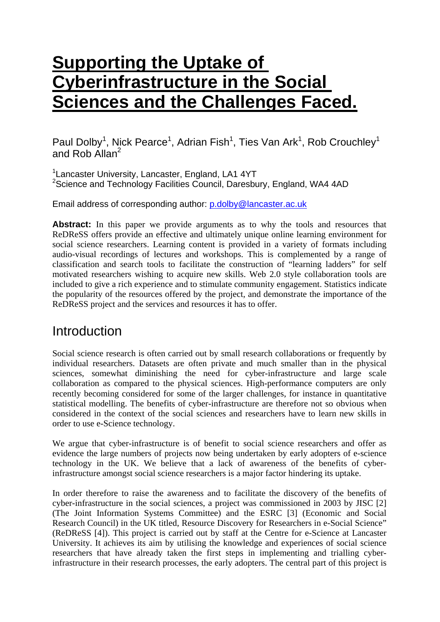# **Supporting the Uptake of Cyberinfrastructure in the Social Sciences and the Challenges Faced.**

Paul Dolby<sup>1</sup>, Nick Pearce<sup>1</sup>, Adrian Fish<sup>1</sup>, Ties Van Ark<sup>1</sup>, Rob Crouchley<sup>1</sup> and Rob Allan<sup>2</sup>

<sup>1</sup> Lancaster University, Lancaster, England, LA1 4YT <sup>2</sup>Science and Technology Facilities Council, Daresbury, England, WA4 4AD

Email address of corresponding author: [p.dolby@lancaster.ac.uk](mailto:p.dolby@lancaster.ac.uk)

Abstract: In this paper we provide arguments as to why the tools and resources that ReDReSS offers provide an effective and ultimately unique online learning environment for social science researchers. Learning content is provided in a variety of formats including audio-visual recordings of lectures and workshops. This is complemented by a range of classification and search tools to facilitate the construction of "learning ladders" for self motivated researchers wishing to acquire new skills. Web 2.0 style collaboration tools are included to give a rich experience and to stimulate community engagement. Statistics indicate the popularity of the resources offered by the project, and demonstrate the importance of the ReDReSS project and the services and resources it has to offer.

### Introduction

Social science research is often carried out by small research collaborations or frequently by individual researchers. Datasets are often private and much smaller than in the physical sciences, somewhat diminishing the need for cyber-infrastructure and large scale collaboration as compared to the physical sciences. High-performance computers are only recently becoming considered for some of the larger challenges, for instance in quantitative statistical modelling. The benefits of cyber-infrastructure are therefore not so obvious when considered in the context of the social sciences and researchers have to learn new skills in order to use e-Science technology.

We argue that cyber-infrastructure is of benefit to social science researchers and offer as evidence the large numbers of projects now being undertaken by early adopters of e-science technology in the UK. We believe that a lack of awareness of the benefits of cyberinfrastructure amongst social science researchers is a major factor hindering its uptake.

In order therefore to raise the awareness and to facilitate the discovery of the benefits of cyber-infrastructure in the social sciences, a project was commissioned in 2003 by JISC [2] (The Joint Information Systems Committee) and the ESRC [3] (Economic and Social Research Council) in the UK titled, Resource Discovery for Researchers in e-Social Science" (ReDReSS [4]). This project is carried out by staff at the Centre for e-Science at Lancaster University. It achieves its aim by utilising the knowledge and experiences of social science researchers that have already taken the first steps in implementing and trialling cyberinfrastructure in their research processes, the early adopters. The central part of this project is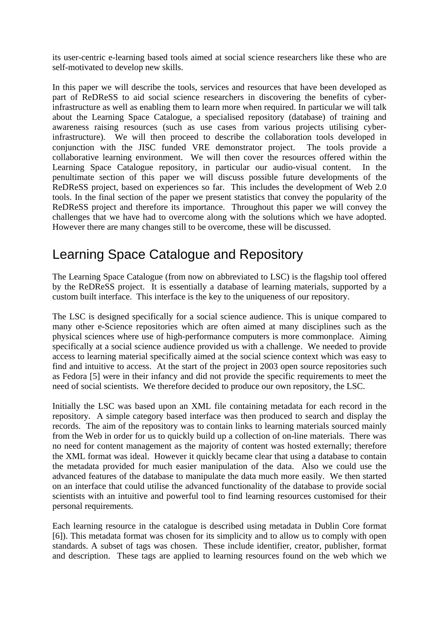its user-centric e-learning based tools aimed at social science researchers like these who are self-motivated to develop new skills.

In this paper we will describe the tools, services and resources that have been developed as part of ReDReSS to aid social science researchers in discovering the benefits of cyberinfrastructure as well as enabling them to learn more when required. In particular we will talk about the Learning Space Catalogue, a specialised repository (database) of training and awareness raising resources (such as use cases from various projects utilising cyberinfrastructure). We will then proceed to describe the collaboration tools developed in conjunction with the JISC funded VRE demonstrator project. The tools provide a collaborative learning environment. We will then cover the resources offered within the Learning Space Catalogue repository, in particular our audio-visual content. In the penultimate section of this paper we will discuss possible future developments of the ReDReSS project, based on experiences so far. This includes the development of Web 2.0 tools. In the final section of the paper we present statistics that convey the popularity of the ReDReSS project and therefore its importance. Throughout this paper we will convey the challenges that we have had to overcome along with the solutions which we have adopted. However there are many changes still to be overcome, these will be discussed.

### Learning Space Catalogue and Repository

The Learning Space Catalogue (from now on abbreviated to LSC) is the flagship tool offered by the ReDReSS project. It is essentially a database of learning materials, supported by a custom built interface. This interface is the key to the uniqueness of our repository.

The LSC is designed specifically for a social science audience. This is unique compared to many other e-Science repositories which are often aimed at many disciplines such as the physical sciences where use of high-performance computers is more commonplace. Aiming specifically at a social science audience provided us with a challenge. We needed to provide access to learning material specifically aimed at the social science context which was easy to find and intuitive to access. At the start of the project in 2003 open source repositories such as Fedora [5] were in their infancy and did not provide the specific requirements to meet the need of social scientists. We therefore decided to produce our own repository, the LSC.

Initially the LSC was based upon an XML file containing metadata for each record in the repository. A simple category based interface was then produced to search and display the records. The aim of the repository was to contain links to learning materials sourced mainly from the Web in order for us to quickly build up a collection of on-line materials. There was no need for content management as the majority of content was hosted externally; therefore the XML format was ideal. However it quickly became clear that using a database to contain the metadata provided for much easier manipulation of the data. Also we could use the advanced features of the database to manipulate the data much more easily. We then started on an interface that could utilise the advanced functionality of the database to provide social scientists with an intuitive and powerful tool to find learning resources customised for their personal requirements.

Each learning resource in the catalogue is described using metadata in Dublin Core format [6]). This metadata format was chosen for its simplicity and to allow us to comply with open standards. A subset of tags was chosen. These include identifier, creator, publisher, format and description. These tags are applied to learning resources found on the web which we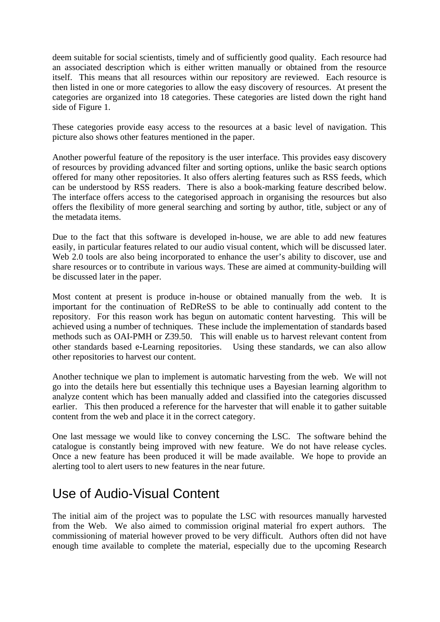deem suitable for social scientists, timely and of sufficiently good quality. Each resource had an associated description which is either written manually or obtained from the resource itself. This means that all resources within our repository are reviewed. Each resource is then listed in one or more categories to allow the easy discovery of resources. At present the categories are organized into 18 categories. These categories are listed down the right hand side of Figure 1.

These categories provide easy access to the resources at a basic level of navigation. This picture also shows other features mentioned in the paper.

Another powerful feature of the repository is the user interface. This provides easy discovery of resources by providing advanced filter and sorting options, unlike the basic search options offered for many other repositories. It also offers alerting features such as RSS feeds, which can be understood by RSS readers. There is also a book-marking feature described below. The interface offers access to the categorised approach in organising the resources but also offers the flexibility of more general searching and sorting by author, title, subject or any of the metadata items.

Due to the fact that this software is developed in-house, we are able to add new features easily, in particular features related to our audio visual content, which will be discussed later. Web 2.0 tools are also being incorporated to enhance the user's ability to discover, use and share resources or to contribute in various ways. These are aimed at community-building will be discussed later in the paper.

Most content at present is produce in-house or obtained manually from the web. It is important for the continuation of ReDReSS to be able to continually add content to the repository. For this reason work has begun on automatic content harvesting. This will be achieved using a number of techniques. These include the implementation of standards based methods such as OAI-PMH or Z39.50. This will enable us to harvest relevant content from other standards based e-Learning repositories. Using these standards, we can also allow other repositories to harvest our content.

Another technique we plan to implement is automatic harvesting from the web. We will not go into the details here but essentially this technique uses a Bayesian learning algorithm to analyze content which has been manually added and classified into the categories discussed earlier. This then produced a reference for the harvester that will enable it to gather suitable content from the web and place it in the correct category.

One last message we would like to convey concerning the LSC. The software behind the catalogue is constantly being improved with new feature. We do not have release cycles. Once a new feature has been produced it will be made available. We hope to provide an alerting tool to alert users to new features in the near future.

# Use of Audio-Visual Content

The initial aim of the project was to populate the LSC with resources manually harvested from the Web. We also aimed to commission original material fro expert authors. The commissioning of material however proved to be very difficult. Authors often did not have enough time available to complete the material, especially due to the upcoming Research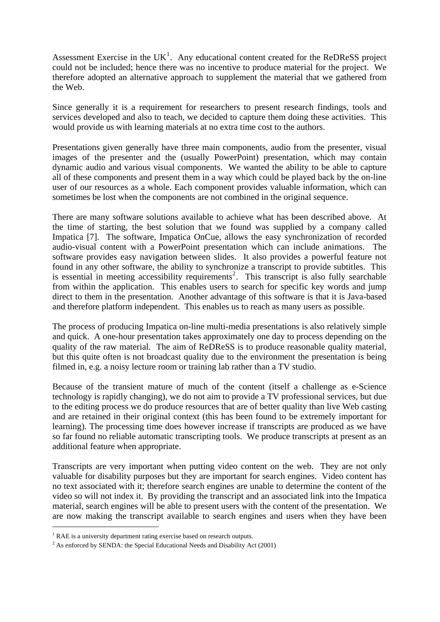Assessment Exercise in the UK<sup>[1](#page-3-0)</sup>. Any educational content created for the ReDReSS project could not be included; hence there was no incentive to produce material for the project. We therefore adopted an alternative approach to supplement the material that we gathered from the Web.

Since generally it is a requirement for researchers to present research findings, tools and services developed and also to teach, we decided to capture them doing these activities. This would provide us with learning materials at no extra time cost to the authors.

Presentations given generally have three main components, audio from the presenter, visual images of the presenter and the (usually PowerPoint) presentation, which may contain dynamic audio and various visual components. We wanted the ability to be able to capture all of these components and present them in a way which could be played back by the on-line user of our resources as a whole. Each component provides valuable information, which can sometimes be lost when the components are not combined in the original sequence.

There are many software solutions available to achieve what has been described above. At the time of starting, the best solution that we found was supplied by a company called Impatica [7]. The software, Impatica OnCue, allows the easy synchronization of recorded audio-visual content with a PowerPoint presentation which can include animations. The software provides easy navigation between slides. It also provides a powerful feature not found in any other software, the ability to synchronize a transcript to provide subtitles. This is essential in meeting accessibility requirements<sup>[2](#page-3-1)</sup>. This transcript is also fully searchable from within the application. This enables users to search for specific key words and jump direct to them in the presentation. Another advantage of this software is that it is Java-based and therefore platform independent. This enables us to reach as many users as possible.

The process of producing Impatica on-line multi-media presentations is also relatively simple and quick. A one-hour presentation takes approximately one day to process depending on the quality of the raw material. The aim of ReDReSS is to produce reasonable quality material, but this quite often is not broadcast quality due to the environment the presentation is being filmed in, e.g. a noisy lecture room or training lab rather than a TV studio.

Because of the transient mature of much of the content (itself a challenge as e-Science technology is rapidly changing), we do not aim to provide a TV professional services, but due to the editing process we do produce resources that are of better quality than live Web casting and are retained in their original context (this has been found to be extremely important for learning). The processing time does however increase if transcripts are produced as we have so far found no reliable automatic transcripting tools. We produce transcripts at present as an additional feature when appropriate.

Transcripts are very important when putting video content on the web. They are not only valuable for disability purposes but they are important for search engines. Video content has no text associated with it; therefore search engines are unable to determine the content of the video so will not index it. By providing the transcript and an associated link into the Impatica material, search engines will be able to present users with the content of the presentation. We are now making the transcript available to search engines and users when they have been

1

<sup>&</sup>lt;sup>1</sup> RAE is a university department rating exercise based on research outputs.<br><sup>2</sup> As or forged by SENDA: the Special Educational Needs and Displaitty As

<span id="page-3-1"></span><span id="page-3-0"></span> $2$  As enforced by SENDA: the Special Educational Needs and Disability Act (2001)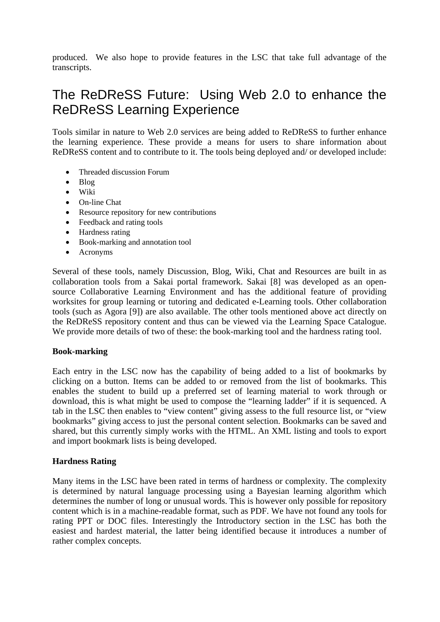produced. We also hope to provide features in the LSC that take full advantage of the transcripts.

# The ReDReSS Future: Using Web 2.0 to enhance the ReDReSS Learning Experience

Tools similar in nature to Web 2.0 services are being added to ReDReSS to further enhance the learning experience. These provide a means for users to share information about ReDReSS content and to contribute to it. The tools being deployed and/ or developed include:

- Threaded discussion Forum
- Blog
- Wiki
- On-line Chat
- Resource repository for new contributions
- Feedback and rating tools
- Hardness rating
- Book-marking and annotation tool
- Acronyms

Several of these tools, namely Discussion, Blog, Wiki, Chat and Resources are built in as collaboration tools from a Sakai portal framework. Sakai [8] was developed as an opensource Collaborative Learning Environment and has the additional feature of providing worksites for group learning or tutoring and dedicated e-Learning tools. Other collaboration tools (such as Agora [9]) are also available. The other tools mentioned above act directly on the ReDReSS repository content and thus can be viewed via the Learning Space Catalogue. We provide more details of two of these: the book-marking tool and the hardness rating tool.

#### **Book-marking**

Each entry in the LSC now has the capability of being added to a list of bookmarks by clicking on a button. Items can be added to or removed from the list of bookmarks. This enables the student to build up a preferred set of learning material to work through or download, this is what might be used to compose the "learning ladder" if it is sequenced. A tab in the LSC then enables to "view content" giving assess to the full resource list, or "view bookmarks" giving access to just the personal content selection. Bookmarks can be saved and shared, but this currently simply works with the HTML. An XML listing and tools to export and import bookmark lists is being developed.

#### **Hardness Rating**

Many items in the LSC have been rated in terms of hardness or complexity. The complexity is determined by natural language processing using a Bayesian learning algorithm which determines the number of long or unusual words. This is however only possible for repository content which is in a machine-readable format, such as PDF. We have not found any tools for rating PPT or DOC files. Interestingly the Introductory section in the LSC has both the easiest and hardest material, the latter being identified because it introduces a number of rather complex concepts.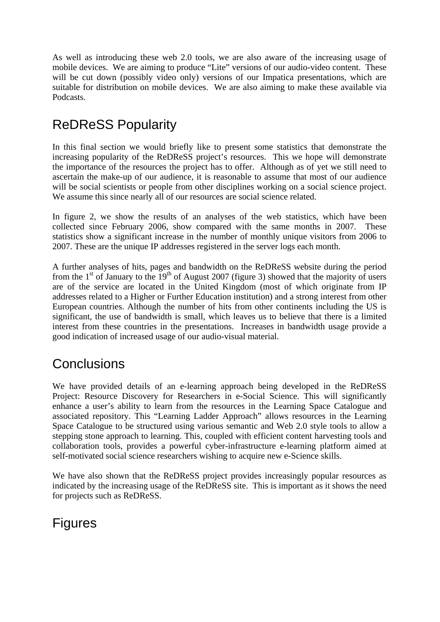As well as introducing these web 2.0 tools, we are also aware of the increasing usage of mobile devices. We are aiming to produce "Lite" versions of our audio-video content. These will be cut down (possibly video only) versions of our Impatica presentations, which are suitable for distribution on mobile devices. We are also aiming to make these available via Podcasts.

# ReDReSS Popularity

In this final section we would briefly like to present some statistics that demonstrate the increasing popularity of the ReDReSS project's resources. This we hope will demonstrate the importance of the resources the project has to offer. Although as of yet we still need to ascertain the make-up of our audience, it is reasonable to assume that most of our audience will be social scientists or people from other disciplines working on a social science project. We assume this since nearly all of our resources are social science related.

In figure 2, we show the results of an analyses of the web statistics, which have been collected since February 2006, show compared with the same months in 2007. These statistics show a significant increase in the number of monthly unique visitors from 2006 to 2007. These are the unique IP addresses registered in the server logs each month.

A further analyses of hits, pages and bandwidth on the ReDReSS website during the period from the  $1<sup>st</sup>$  of January to the  $19<sup>th</sup>$  of August 2007 (figure 3) showed that the majority of users are of the service are located in the United Kingdom (most of which originate from IP addresses related to a Higher or Further Education institution) and a strong interest from other European countries. Although the number of hits from other continents including the US is significant, the use of bandwidth is small, which leaves us to believe that there is a limited interest from these countries in the presentations. Increases in bandwidth usage provide a good indication of increased usage of our audio-visual material.

# **Conclusions**

We have provided details of an e-learning approach being developed in the ReDReSS Project: Resource Discovery for Researchers in e-Social Science. This will significantly enhance a user's ability to learn from the resources in the Learning Space Catalogue and associated repository. This "Learning Ladder Approach" allows resources in the Learning Space Catalogue to be structured using various semantic and Web 2.0 style tools to allow a stepping stone approach to learning. This, coupled with efficient content harvesting tools and collaboration tools, provides a powerful cyber-infrastructure e-learning platform aimed at self-motivated social science researchers wishing to acquire new e-Science skills.

We have also shown that the ReDReSS project provides increasingly popular resources as indicated by the increasing usage of the ReDReSS site. This is important as it shows the need for projects such as ReDReSS.

# Figures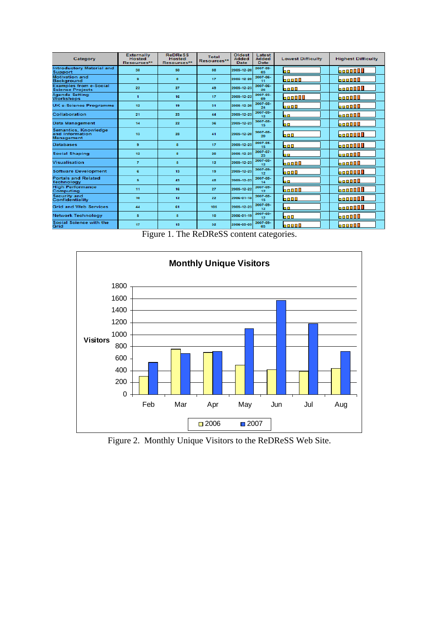| Category                                                     | <b>Externally</b><br><b>Hosted</b><br>Resources** | <b>ReDReSS</b><br><b>Hosted</b><br>Resources** | Total<br>Resources** | Oldest<br><b>Added</b><br>Date: | Latest<br><b>Added</b><br><b>Date</b> | <b>Lowest Difficulty</b> | <b>Highest Difficulty</b> |
|--------------------------------------------------------------|---------------------------------------------------|------------------------------------------------|----------------------|---------------------------------|---------------------------------------|--------------------------|---------------------------|
| <b>Introductory Material and</b><br>Support                  | 38                                                | 50                                             | 33 <sub>1</sub>      | 2005-12-20                      | 2007-09-<br>03                        | 60.                      | 6000000                   |
| <b>Motivation and</b><br>Background                          | s.                                                | s.                                             | 17                   | 2005-12-20                      | 2007-06-<br>11                        | 60000                    | <b>boon00</b>             |
| <b>Examples from e-Social</b><br><b>Science Projects</b>     | 22 <sub>1</sub>                                   | 27                                             | 49                   | 2005-12-23                      | 2007-06-<br>26                        | 6000                     | <b>boon000</b>            |
| Agenda Setting<br><b>Workshops</b>                           | $\blacksquare$                                    | 16                                             | 17                   | 2005-12-22                      | 2007-03-<br>0S                        | 600000                   | <b>booo00</b>             |
| <b>UK e-Science Programme</b>                                | 12 <sub>2</sub>                                   | 19                                             | 31                   | 2005-12-20                      | 2007-08-<br>24                        | 6000                     | boooll                    |
| Collaboration                                                | 21                                                | 23                                             | 44                   | 2005-12-23                      | 2007-09-<br>12                        | 60                       | boongl                    |
| Data Management                                              | 14                                                | $22^{\circ}$                                   | 36                   | 2005-12-23                      | 2007-08-<br>15                        | 60                       | 600000                    |
| Semantics, Knowledge<br>and Information<br><b>Management</b> | 13                                                | 28                                             | 41                   | 2005-12-20                      | 2007-08-<br>20                        | 600                      | <b>boo0000</b>            |
| <b>Databases</b>                                             | s                                                 | s.                                             | 17                   | 2005-12-23                      | 2007-05-<br>15                        | 600                      | <b>boone: 0</b>           |
| Social Shaping                                               | 12                                                | s.                                             | 20                   | 2005-12-23                      | 2007-07-<br>23                        | 60.                      | booooo                    |
| Visualisation                                                | $\overline{I}$                                    | 5                                              | 12 <sub>2</sub>      | 2005-12-23                      | 2007-08-<br>12                        | 60000                    | <b>booo00</b>             |
| <b>Software Development</b>                                  | e.                                                | 13                                             | 19                   | 2005-12-23                      | 2007-09-<br>12                        | 6000                     | boooool                   |
| <b>Portals and Related</b><br><b>Technology</b>              | 5                                                 | 43                                             | 48                   | 2005-12-23                      | 2007-08-<br>14                        | 60.                      | 600000                    |
| <b>High Performance</b><br>Computing                         | 11                                                | 16                                             | 27                   | 2005-12-22                      | 2007-09-<br>12                        | 60000                    | <b>boo0000</b>            |
| Security and<br>Confidentiality                              | 10                                                | 12 <sub>2</sub>                                | $22^{\circ}$         | 2006-01-18                      | 2007-08-<br>15                        | 6000                     | <b>boooooo</b>            |
| <b>Grid and Web Services</b>                                 | 44                                                | 61.                                            | 105                  | 2005-12-23                      | 2007-09-<br>12                        | 60.                      | <b>boogges</b>            |
| <b>Network Technology</b>                                    | 5                                                 | 5                                              | 10                   | 2006-01-19                      | 2007-09-<br>12                        | 600                      | booooo                    |
| Social Science with the<br>Grid                              | 17                                                | 15                                             | 32                   | 2006-05-09                      | 2007-09-<br>OS.                       | <b>bo000</b>             | <b>booo00</b>             |

Figure 1. The ReDReSS content categories.



Figure 2. Monthly Unique Visitors to the ReDReSS Web Site.